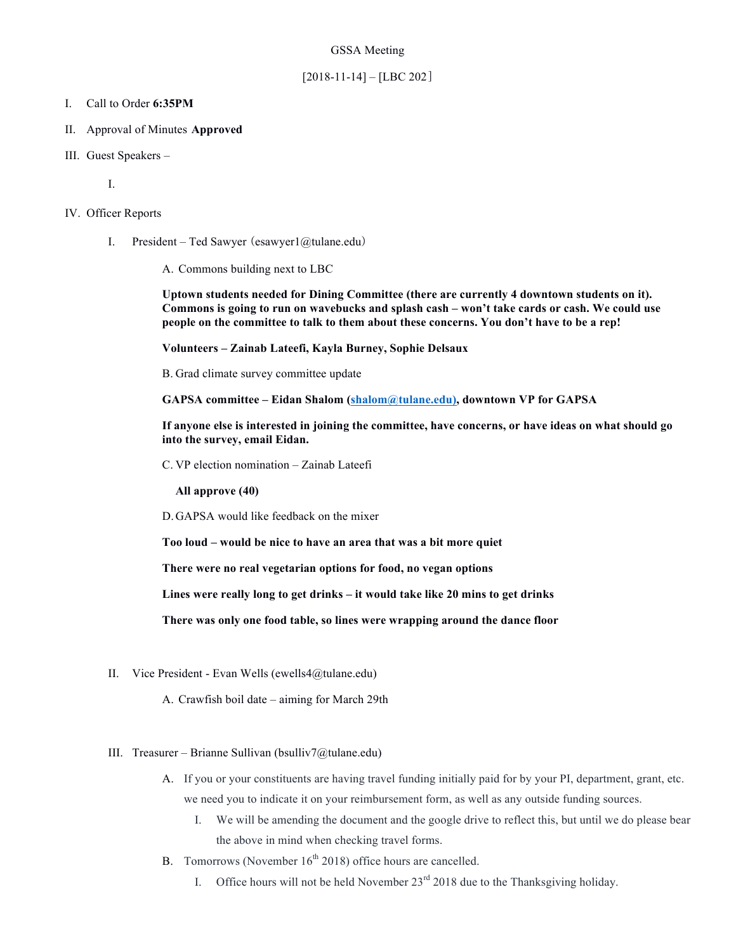#### GSSA Meeting

### $[2018-11-14] - [LBC 202]$

#### I. Call to Order **6:35PM**

- II. Approval of Minutes **Approved**
- III. Guest Speakers –

I.

#### IV. Officer Reports

I. President – Ted Sawyer (esawyer1@tulane.edu)

A. Commons building next to LBC

**Uptown students needed for Dining Committee (there are currently 4 downtown students on it). Commons is going to run on wavebucks and splash cash – won't take cards or cash. We could use people on the committee to talk to them about these concerns. You don't have to be a rep!**

**Volunteers – Zainab Lateefi, Kayla Burney, Sophie Delsaux**

B. Grad climate survey committee update

**GAPSA committee – Eidan Shalom (shalom@tulane.edu), downtown VP for GAPSA**

**If anyone else is interested in joining the committee, have concerns, or have ideas on what should go into the survey, email Eidan.** 

C. VP election nomination – Zainab Lateefi

**All approve (40)**

D.GAPSA would like feedback on the mixer

**Too loud – would be nice to have an area that was a bit more quiet**

**There were no real vegetarian options for food, no vegan options**

**Lines were really long to get drinks – it would take like 20 mins to get drinks**

**There was only one food table, so lines were wrapping around the dance floor** 

II. Vice President - Evan Wells (ewells4@tulane.edu)

A. Crawfish boil date – aiming for March 29th

#### III. Treasurer – Brianne Sullivan (bsulliv7@tulane.edu)

- A. If you or your constituents are having travel funding initially paid for by your PI, department, grant, etc. we need you to indicate it on your reimbursement form, as well as any outside funding sources.
	- I. We will be amending the document and the google drive to reflect this, but until we do please bear the above in mind when checking travel forms.
- B. Tomorrows (November  $16<sup>th</sup> 2018$ ) office hours are cancelled.
	- I. Office hours will not be held November  $23<sup>rd</sup> 2018$  due to the Thanksgiving holiday.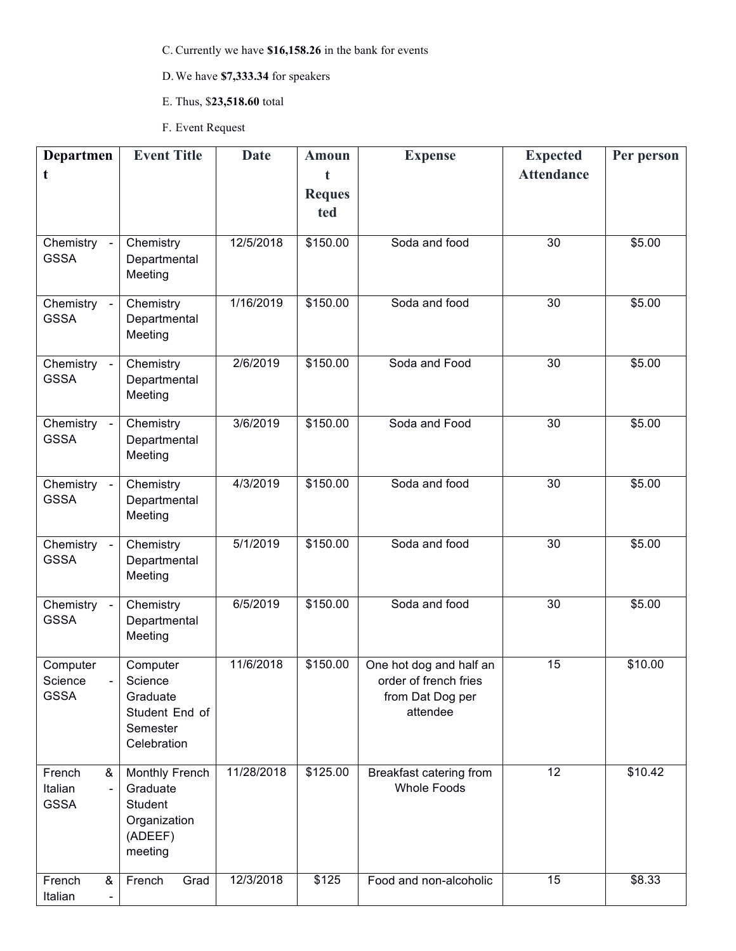C. Currently we have **\$16,158.26** in the bank for events

# D.We have **\$7,333.34** for speakers

- E. Thus, \$**23,518.60** total
- F. Event Request

| Departmen                           | <b>Event Title</b>        | <b>Date</b> | <b>Amoun</b>  | <b>Expense</b>          | <b>Expected</b>   | Per person |
|-------------------------------------|---------------------------|-------------|---------------|-------------------------|-------------------|------------|
| t                                   |                           |             | $\mathbf t$   |                         | <b>Attendance</b> |            |
|                                     |                           |             | <b>Reques</b> |                         |                   |            |
|                                     |                           |             | ted           |                         |                   |            |
| Chemistry -                         | Chemistry                 | 12/5/2018   | \$150.00      | Soda and food           | $\overline{30}$   | \$5.00     |
| <b>GSSA</b>                         | Departmental              |             |               |                         |                   |            |
|                                     | Meeting                   |             |               |                         |                   |            |
|                                     |                           |             |               |                         |                   |            |
| Chemistry -<br><b>GSSA</b>          | Chemistry<br>Departmental | 1/16/2019   | \$150.00      | Soda and food           | 30                | \$5.00     |
|                                     | Meeting                   |             |               |                         |                   |            |
|                                     |                           |             |               |                         |                   |            |
| Chemistry -                         | Chemistry                 | 2/6/2019    | \$150.00      | Soda and Food           | 30                | \$5.00     |
| <b>GSSA</b>                         | Departmental<br>Meeting   |             |               |                         |                   |            |
|                                     |                           |             |               |                         |                   |            |
| Chemistry -                         | Chemistry                 | 3/6/2019    | \$150.00      | Soda and Food           | 30                | \$5.00     |
| <b>GSSA</b>                         | Departmental              |             |               |                         |                   |            |
|                                     | Meeting                   |             |               |                         |                   |            |
| Chemistry -                         | Chemistry                 | 4/3/2019    | \$150.00      | Soda and food           | 30                | \$5.00     |
| <b>GSSA</b>                         | Departmental              |             |               |                         |                   |            |
|                                     | Meeting                   |             |               |                         |                   |            |
| Chemistry -                         | Chemistry                 | 5/1/2019    | \$150.00      | Soda and food           | 30                | \$5.00     |
| <b>GSSA</b>                         | Departmental              |             |               |                         |                   |            |
|                                     | Meeting                   |             |               |                         |                   |            |
| Chemistry -                         | Chemistry                 | 6/5/2019    | \$150.00      | Soda and food           | 30                | \$5.00     |
| <b>GSSA</b>                         | Departmental              |             |               |                         |                   |            |
|                                     | Meeting                   |             |               |                         |                   |            |
| Computer                            | Computer                  | 11/6/2018   | \$150.00      | One hot dog and half an | 15                | \$10.00    |
| Science                             | Science                   |             |               | order of french fries   |                   |            |
| <b>GSSA</b>                         | Graduate                  |             |               | from Dat Dog per        |                   |            |
|                                     | Student End of            |             |               | attendee                |                   |            |
|                                     | Semester                  |             |               |                         |                   |            |
|                                     | Celebration               |             |               |                         |                   |            |
| French<br>&                         | Monthly French            | 11/28/2018  | \$125.00      | Breakfast catering from | $\overline{12}$   | \$10.42    |
| Italian<br>$\overline{\phantom{a}}$ | Graduate                  |             |               | <b>Whole Foods</b>      |                   |            |
| <b>GSSA</b>                         | Student                   |             |               |                         |                   |            |
|                                     | Organization<br>(ADEEF)   |             |               |                         |                   |            |
|                                     | meeting                   |             |               |                         |                   |            |
|                                     |                           |             |               |                         |                   |            |
| French<br>&<br>Italian              | French<br>Grad            | 12/3/2018   | \$125         | Food and non-alcoholic  | $\overline{15}$   | \$8.33     |
|                                     |                           |             |               |                         |                   |            |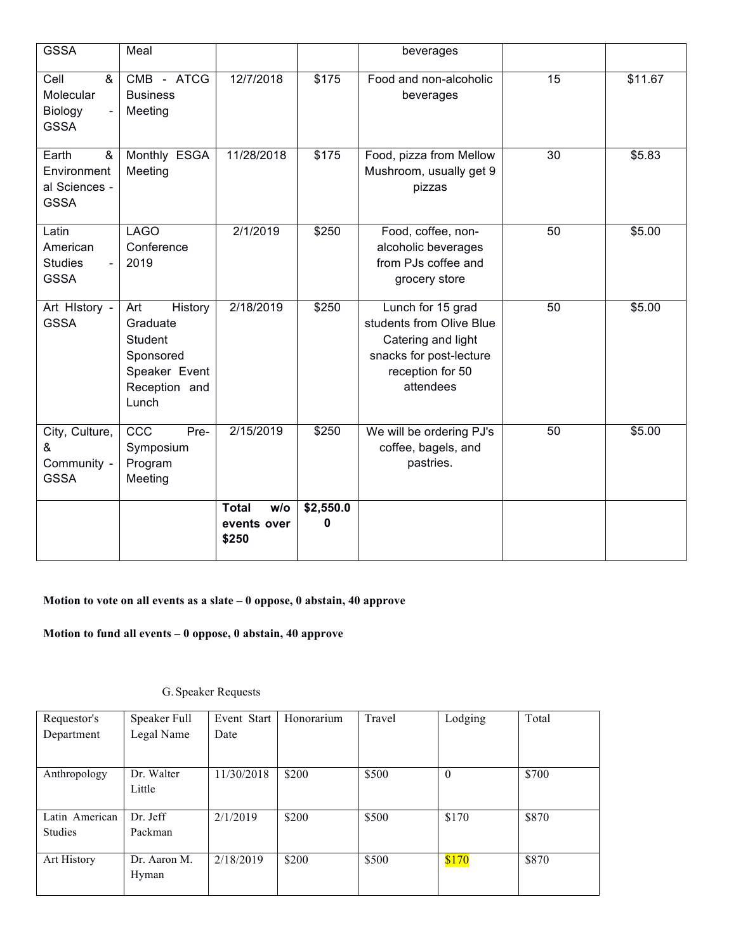| <b>GSSA</b>                                               | Meal                                                                                          |                                             |                | beverages                                                                                                                       |                 |         |
|-----------------------------------------------------------|-----------------------------------------------------------------------------------------------|---------------------------------------------|----------------|---------------------------------------------------------------------------------------------------------------------------------|-----------------|---------|
| Cell<br>&<br>Molecular<br>Biology<br><b>GSSA</b>          | CMB - ATCG<br><b>Business</b><br>Meeting                                                      | 12/7/2018                                   | \$175          | Food and non-alcoholic<br>beverages                                                                                             | $\overline{15}$ | \$11.67 |
| Earth<br>&<br>Environment<br>al Sciences -<br><b>GSSA</b> | Monthly ESGA<br>Meeting                                                                       | 11/28/2018                                  | \$175          | Food, pizza from Mellow<br>Mushroom, usually get 9<br>pizzas                                                                    | 30              | \$5.83  |
| Latin<br>American<br><b>Studies</b><br><b>GSSA</b>        | <b>LAGO</b><br>Conference<br>2019                                                             | 2/1/2019                                    | \$250          | Food, coffee, non-<br>alcoholic beverages<br>from PJs coffee and<br>grocery store                                               | 50              | \$5.00  |
| Art HIstory -<br><b>GSSA</b>                              | Art<br>History<br>Graduate<br>Student<br>Sponsored<br>Speaker Event<br>Reception and<br>Lunch | 2/18/2019                                   | \$250          | Lunch for 15 grad<br>students from Olive Blue<br>Catering and light<br>snacks for post-lecture<br>reception for 50<br>attendees | 50              | \$5.00  |
| City, Culture,<br>&<br>Community -<br><b>GSSA</b>         | CCC<br>Pre-<br>Symposium<br>Program<br>Meeting                                                | 2/15/2019                                   | \$250          | We will be ordering PJ's<br>coffee, bagels, and<br>pastries.                                                                    | 50              | \$5.00  |
|                                                           |                                                                                               | <b>Total</b><br>w/o<br>events over<br>\$250 | \$2,550.0<br>0 |                                                                                                                                 |                 |         |

## **Motion to vote on all events as a slate – 0 oppose, 0 abstain, 40 approve**

**Motion to fund all events – 0 oppose, 0 abstain, 40 approve**

## G.Speaker Requests

| Requestor's    | Speaker Full | Event Start | Honorarium | Travel | Lodging  | Total |
|----------------|--------------|-------------|------------|--------|----------|-------|
| Department     | Legal Name   | Date        |            |        |          |       |
|                |              |             |            |        |          |       |
| Anthropology   | Dr. Walter   | 11/30/2018  | \$200      | \$500  | $\theta$ | \$700 |
|                | Little       |             |            |        |          |       |
|                |              |             |            |        |          |       |
| Latin American | Dr. Jeff     | 2/1/2019    | \$200      | \$500  | \$170    | \$870 |
| <b>Studies</b> | Packman      |             |            |        |          |       |
|                |              |             |            |        |          |       |
| Art History    | Dr. Aaron M. | 2/18/2019   | \$200      | \$500  | \$170    | \$870 |
|                | Hyman        |             |            |        |          |       |
|                |              |             |            |        |          |       |